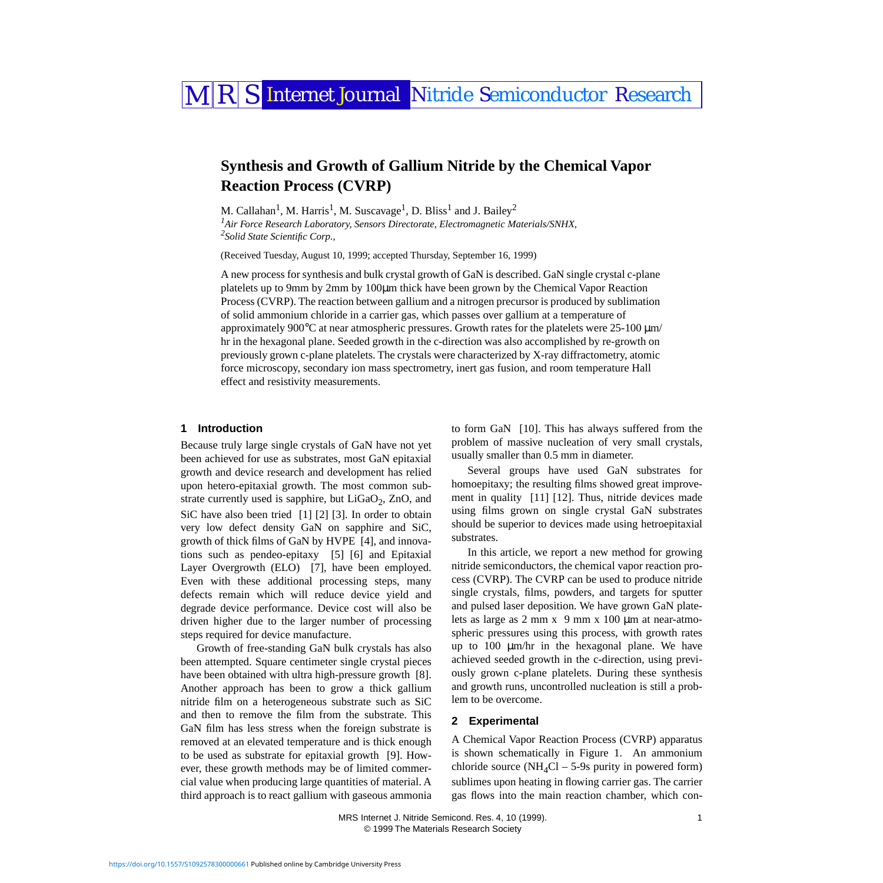# MRS Internet Journal Nitride Semiconductor Research

# **Synthesis and Growth of Gallium Nitride by the Chemical Vapor Reaction Process (CVRP)**

M. Callahan<sup>1</sup>, M. Harris<sup>1</sup>, M. Suscavage<sup>1</sup>, D. Bliss<sup>1</sup> and J. Bailey<sup>2</sup>

<span id="page-0-1"></span><span id="page-0-0"></span>*1 Air Force Research Laboratory, Sensors Directorate, Electromagnetic Materials/SNHX, 2 Solid State Scientific Corp.,* 

(Received Tuesday, August 10, 1999; accepted Thursday, September 16, 1999)

A new process for synthesis and bulk crystal growth of GaN is described. GaN single crystal c-plane platelets up to 9mm by 2mm by 100µm thick have been grown by the Chemical Vapor Reaction Process (CVRP). The reaction between gallium and a nitrogen precursor is produced by sublimation of solid ammonium chloride in a carrier gas, which passes over gallium at a temperature of approximately 900 $^{\circ}$ C at near atmospheric pressures. Growth rates for the platelets were 25-100  $\mu$ m/ hr in the hexagonal plane. Seeded growth in the c-direction was also accomplished by re-growth on previously grown c-plane platelets. The crystals were characterized by X-ray diffractometry, atomic force microscopy, secondary ion mass spectrometry, inert gas fusion, and room temperature Hall effect and resistivity measurements.

# **1 Introduction**

Because truly large single crystals of GaN have not yet been achieved for use as substrates, most GaN epitaxial growth and device research and development has relied upon hetero-epitaxial growth. The most common substrate currently used is sapphire, but  $LiGaO<sub>2</sub>$ , ZnO, and SiC have also been tried [\[1\]](#page-3-0) [\[2\]](#page-3-1) [\[3\]](#page-3-2). In order to obtain very low defect density GaN on sapphire and SiC, growth of thick films of GaN by HVPE [\[4\]](#page-4-0), and innovations such as pendeo-epitaxy [\[5\]](#page-4-1) [\[6\]](#page-4-2) and Epitaxial Layer Overgrowth (ELO) [\[7\]](#page-4-3), have been employed. Even with these additional processing steps, many defects remain which will reduce device yield and degrade device performance. Device cost will also be driven higher due to the larger number of processing steps required for device manufacture.

Growth of free-standing GaN bulk crystals has also been attempted. Square centimeter single crystal pieces have been obtained with ultra high-pressure growth [\[8\].](#page-4-4) Another approach has been to grow a thick gallium nitride film on a heterogeneous substrate such as SiC and then to remove the film from the substrate. This GaN film has less stress when the foreign substrate is removed at an elevated temperature and is thick enough to be used as substrate for epitaxial growth [\[9\].](#page-4-5) However, these growth methods may be of limited commercial value when producing large quantities of material. A third approach is to react gallium with gaseous ammonia

to form GaN [\[10\].](#page-4-6) This has always suffered from the problem of massive nucleation of very small crystals, usually smaller than 0.5 mm in diameter.

Several groups have used GaN substrates for homoepitaxy; the resulting films showed great improvement in quality [\[11\]](#page-4-7) [\[12\].](#page-4-8) Thus, nitride devices made using films grown on single crystal GaN substrates should be superior to devices made using hetroepitaxial substrates.

In this article, we report a new method for growing nitride semiconductors, the chemical vapor reaction process (CVRP). The CVRP can be used to produce nitride single crystals, films, powders, and targets for sputter and pulsed laser deposition. We have grown GaN platelets as large as 2 mm x 9 mm x 100 µm at near-atmospheric pressures using this process, with growth rates up to 100 µm/hr in the hexagonal plane. We have achieved seeded growth in the c-direction, using previously grown c-plane platelets. During these synthesis and growth runs, uncontrolled nucleation is still a problem to be overcome.

#### **2 Experimental**

A Chemical Vapor Reaction Process (CVRP) apparatus is shown schematically in Figure [1.](#page-4-9) An ammonium chloride source ( $NH<sub>4</sub>Cl - 5-9s$  purity in powered form) sublimes upon heating in flowing carrier gas. The carrier gas flows into the main reaction chamber, which con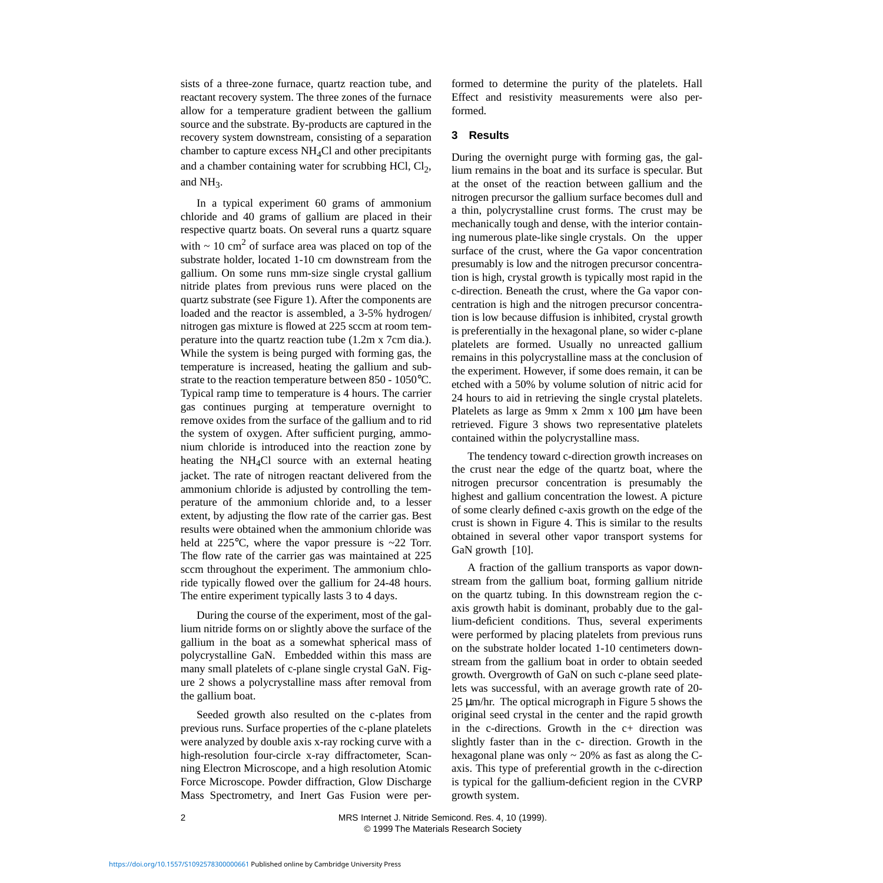sists of a three-zone furnace, quartz reaction tube, and reactant recovery system. The three zones of the furnace allow for a temperature gradient between the gallium source and the substrate. By-products are captured in the recovery system downstream, consisting of a separation chamber to capture excess NH4Cl and other precipitants and a chamber containing water for scrubbing HCl,  $Cl_2$ , and NH<sub>3</sub>.

In a typical experiment 60 grams of ammonium chloride and 40 grams of gallium are placed in their respective quartz boats. On several runs a quartz square with  $\sim 10 \text{ cm}^2$  of surface area was placed on top of the substrate holder, located 1-10 cm downstream from the gallium. On some runs mm-size single crystal gallium nitride plates from previous runs were placed on the quartz substrate (see Figure [1\)](#page-4-9). After the components are loaded and the reactor is assembled, a 3-5% hydrogen/ nitrogen gas mixture is flowed at 225 sccm at room temperature into the quartz reaction tube (1.2m x 7cm dia.). While the system is being purged with forming gas, the temperature is increased, heating the gallium and substrate to the reaction temperature between 850 - 1050°C. Typical ramp time to temperature is 4 hours. The carrier gas continues purging at temperature overnight to remove oxides from the surface of the gallium and to rid the system of oxygen. After sufficient purging, ammonium chloride is introduced into the reaction zone by heating the NH<sub>4</sub>Cl source with an external heating jacket. The rate of nitrogen reactant delivered from the ammonium chloride is adjusted by controlling the temperature of the ammonium chloride and, to a lesser extent, by adjusting the flow rate of the carrier gas. Best results were obtained when the ammonium chloride was held at  $225^{\circ}$ C, where the vapor pressure is  $\sim$ 22 Torr. The flow rate of the carrier gas was maintained at 225 sccm throughout the experiment. The ammonium chloride typically flowed over the gallium for 24-48 hours. The entire experiment typically lasts 3 to 4 days.

During the course of the experiment, most of the gallium nitride forms on or slightly above the surface of the gallium in the boat as a somewhat spherical mass of polycrystalline GaN. Embedded within this mass are many small platelets of c-plane single crystal GaN. Figure [2](#page-4-9) shows a polycrystalline mass after removal from the gallium boat.

Seeded growth also resulted on the c-plates from previous runs. Surface properties of the c-plane platelets were analyzed by double axis x-ray rocking curve with a high-resolution four-circle x-ray diffractometer, Scanning Electron Microscope, and a high resolution Atomic Force Microscope. Powder diffraction, Glow Discharge Mass Spectrometry, and Inert Gas Fusion were performed to determine the purity of the platelets. Hall Effect and resistivity measurements were also performed.

# **3 Results**

During the overnight purge with forming gas, the gallium remains in the boat and its surface is specular. But at the onset of the reaction between gallium and the nitrogen precursor the gallium surface becomes dull and a thin, polycrystalline crust forms. The crust may be mechanically tough and dense, with the interior containing numerous plate-like single crystals. On the upper surface of the crust, where the Ga vapor concentration presumably is low and the nitrogen precursor concentration is high, crystal growth is typically most rapid in the c-direction. Beneath the crust, where the Ga vapor concentration is high and the nitrogen precursor concentration is low because diffusion is inhibited, crystal growth is preferentially in the hexagonal plane, so wider c-plane platelets are formed. Usually no unreacted gallium remains in this polycrystalline mass at the conclusion of the experiment. However, if some does remain, it can be etched with a 50% by volume solution of nitric acid for 24 hours to aid in retrieving the single crystal platelets. Platelets as large as 9mm x 2mm x 100  $\mu$ m have been retrieved. Figure [3](#page-4-9) shows two representative platelets contained within the polycrystalline mass.

The tendency toward c-direction growth increases on the crust near the edge of the quartz boat, where the nitrogen precursor concentration is presumably the highest and gallium concentration the lowest. A picture of some clearly defined c-axis growth on the edge of the crust is shown in Figure [4](#page-4-9). This is similar to the results obtained in several other vapor transport systems for GaN growth [\[10\]](#page-4-6).

A fraction of the gallium transports as vapor downstream from the gallium boat, forming gallium nitride on the quartz tubing. In this downstream region the caxis growth habit is dominant, probably due to the gallium-deficient conditions. Thus, several experiments were performed by placing platelets from previous runs on the substrate holder located 1-10 centimeters downstream from the gallium boat in order to obtain seeded growth. Overgrowth of GaN on such c-plane seed platelets was successful, with an average growth rate of 20- 25 µm/hr. The optical micrograph in Figure [5](#page-4-9) shows the original seed crystal in the center and the rapid growth in the c-directions. Growth in the c+ direction was slightly faster than in the c- direction. Growth in the hexagonal plane was only  $\sim$  20% as fast as along the Caxis. This type of preferential growth in the c-direction is typical for the gallium-deficient region in the CVRP growth system.

2 MRS Internet J. Nitride Semicond. Res. 4, 10 (1999). © 1999 The Materials Research Society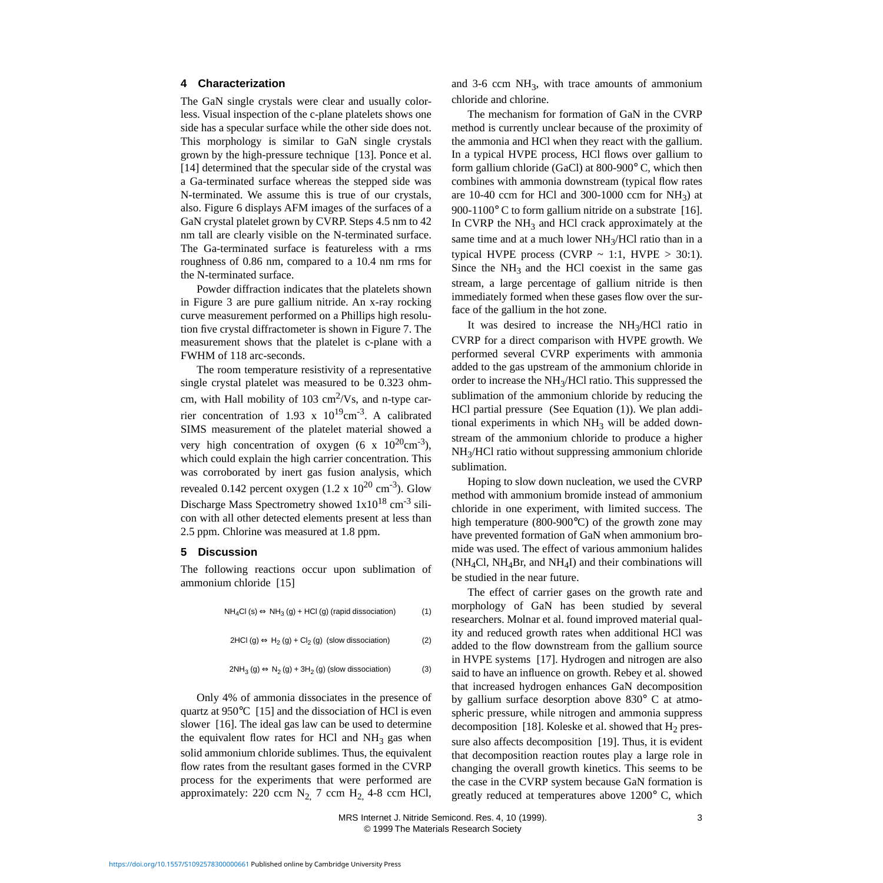#### **4 Characterization**

The GaN single crystals were clear and usually colorless. Visual inspection of the c-plane platelets shows one side has a specular surface while the other side does not. This morphology is similar to GaN single crystals grown by the high-pressure technique [\[13\]](#page-4-10). Ponce et al. [\[14\]](#page-4-11) determined that the specular side of the crystal was a Ga-terminated surface whereas the stepped side was N-terminated. We assume this is true of our crystals, also. Figure [6](#page-4-9) displays AFM images of the surfaces of a GaN crystal platelet grown by CVRP. Steps 4.5 nm to 42 nm tall are clearly visible on the N-terminated surface. The Ga-terminated surface is featureless with a rms roughness of 0.86 nm, compared to a 10.4 nm rms for the N-terminated surface.

Powder diffraction indicates that the platelets shown in Figure [3](#page-4-9) are pure gallium nitride. An x-ray rocking curve measurement performed on a Phillips high resolution five crystal diffractometer is shown in Figure [7](#page-4-9). The measurement shows that the platelet is c-plane with a FWHM of 118 arc-seconds.

The room temperature resistivity of a representative single crystal platelet was measured to be 0.323 ohmcm, with Hall mobility of 103  $\text{cm}^2/\text{Vs}$ , and n-type carrier concentration of 1.93 x  $10^{19}$ cm<sup>-3</sup>. A calibrated SIMS measurement of the platelet material showed a very high concentration of oxygen (6 x  $10^{20}$ cm<sup>-3</sup>), which could explain the high carrier concentration. This was corroborated by inert gas fusion analysis, which revealed 0.142 percent oxygen  $(1.2 \times 10^{20} \text{ cm}^{-3})$ . Glow Discharge Mass Spectrometry showed  $1x10^{18}$  cm<sup>-3</sup> silicon with all other detected elements present at less than 2.5 ppm. Chlorine was measured at 1.8 ppm.

# **5 Discussion**

<span id="page-2-0"></span>The following reactions occur upon sublimation of ammonium chloride [\[15\]](#page-4-12)

$$
NH4Cl (s) \Leftrightarrow NH3 (g) + HCl (g) (rapid dissociation)
$$
 (1)

$$
2HCl (g) \Leftrightarrow H_2(g) + Cl_2(g) \text{ (slow dissociation)}
$$
 (2)

$$
2NH_3 (g) \Leftrightarrow N_2 (g) + 3H_2 (g) \text{ (slow dissociation)}
$$
 (3)

Only 4% of ammonia dissociates in the presence of quartz at 950°C [\[15\]](#page-4-12) and the dissociation of HCl is even slower [\[16\]](#page-4-13). The ideal gas law can be used to determine the equivalent flow rates for HCl and  $NH_3$  gas when solid ammonium chloride sublimes. Thus, the equivalent flow rates from the resultant gases formed in the CVRP process for the experiments that were performed are approximately: 220 ccm  $N_2$ , 7 ccm  $H_2$ , 4-8 ccm HCl, and  $3-6$  ccm  $NH_3$ , with trace amounts of ammonium chloride and chlorine.

The mechanism for formation of GaN in the CVRP method is currently unclear because of the proximity of the ammonia and HCl when they react with the gallium. In a typical HVPE process, HCl flows over gallium to form gallium chloride (GaCl) at 800-900° C, which then combines with ammonia downstream (typical flow rates are 10-40 ccm for HCl and 300-1000 ccm for  $NH<sub>3</sub>$ ) at 900-1100° C to form gallium nitride on a substrate [\[16\]](#page-4-13). In CVRP the  $NH<sub>3</sub>$  and HCl crack approximately at the same time and at a much lower  $NH<sub>3</sub>/HCl$  ratio than in a typical HVPE process (CVRP  $\sim$  1:1, HVPE  $>$  30:1). Since the  $NH<sub>3</sub>$  and the HCl coexist in the same gas stream, a large percentage of gallium nitride is then immediately formed when these gases flow over the surface of the gallium in the hot zone.

It was desired to increase the NH3/HCl ratio in CVRP for a direct comparison with HVPE growth. We performed several CVRP experiments with ammonia added to the gas upstream of the ammonium chloride in order to increase the  $NH<sub>3</sub>/HCl$  ratio. This suppressed the sublimation of the ammonium chloride by reducing the HCl partial pressure (See Equation [\(1\)](#page-2-0)). We plan additional experiments in which  $NH<sub>3</sub>$  will be added downstream of the ammonium chloride to produce a higher NH3/HCl ratio without suppressing ammonium chloride sublimation.

Hoping to slow down nucleation, we used the CVRP method with ammonium bromide instead of ammonium chloride in one experiment, with limited success. The high temperature (800-900°C) of the growth zone may have prevented formation of GaN when ammonium bromide was used. The effect of various ammonium halides  $(NH<sub>4</sub>Cl, NH<sub>4</sub>Br, and NH<sub>4</sub>I)$  and their combinations will be studied in the near future.

The effect of carrier gases on the growth rate and morphology of GaN has been studied by several researchers. Molnar et al. found improved material quality and reduced growth rates when additional HCl was added to the flow downstream from the gallium source in HVPE systems [\[17\].](#page-4-14) Hydrogen and nitrogen are also said to have an influence on growth. Rebey et al. showed that increased hydrogen enhances GaN decomposition by gallium surface desorption above 830° C at atmospheric pressure, while nitrogen and ammonia suppress decomposition [\[18\]](#page-4-15). Koleske et al. showed that  $H_2$  pressure also affects decomposition [\[19\]](#page-4-16). Thus, it is evident that decomposition reaction routes play a large role in changing the overall growth kinetics. This seems to be the case in the CVRP system because GaN formation is greatly reduced at temperatures above 1200° C, which

 MRS Internet J. Nitride Semicond. Res. 4, 10 (1999). 3 © 1999 The Materials Research Society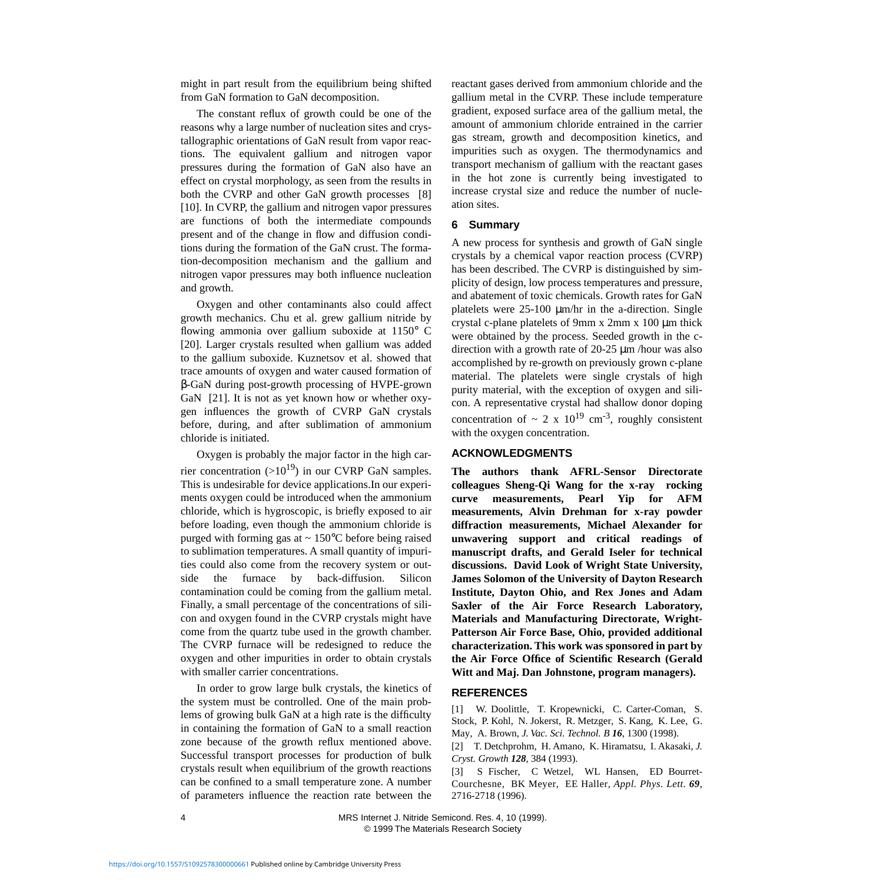might in part result from the equilibrium being shifted from GaN formation to GaN decomposition.

The constant reflux of growth could be one of the reasons why a large number of nucleation sites and crystallographic orientations of GaN result from vapor reactions. The equivalent gallium and nitrogen vapor pressures during the formation of GaN also have an effect on crystal morphology, as seen from the results in both the CVRP and other GaN growth processes [\[8\]](#page-4-4) [\[10\].](#page-4-6) In CVRP, the gallium and nitrogen vapor pressures are functions of both the intermediate compounds present and of the change in flow and diffusion conditions during the formation of the GaN crust. The formation-decomposition mechanism and the gallium and nitrogen vapor pressures may both influence nucleation and growth.

Oxygen and other contaminants also could affect growth mechanics. Chu et al. grew gallium nitride by flowing ammonia over gallium suboxide at 1150° C [\[20\].](#page-4-17) Larger crystals resulted when gallium was added to the gallium suboxide. Kuznetsov et al. showed that trace amounts of oxygen and water caused formation of β-GaN during post-growth processing of HVPE-grown GaN [\[21\].](#page-4-18) It is not as yet known how or whether oxygen influences the growth of CVRP GaN crystals before, during, and after sublimation of ammonium chloride is initiated.

Oxygen is probably the major factor in the high carrier concentration  $(>10^{19})$  in our CVRP GaN samples. This is undesirable for device applications.In our experiments oxygen could be introduced when the ammonium chloride, which is hygroscopic, is briefly exposed to air before loading, even though the ammonium chloride is purged with forming gas at  $\sim 150^{\circ}$ C before being raised to sublimation temperatures. A small quantity of impurities could also come from the recovery system or outside the furnace by back-diffusion. Silicon contamination could be coming from the gallium metal. Finally, a small percentage of the concentrations of silicon and oxygen found in the CVRP crystals might have come from the quartz tube used in the growth chamber. The CVRP furnace will be redesigned to reduce the oxygen and other impurities in order to obtain crystals with smaller carrier concentrations.

In order to grow large bulk crystals, the kinetics of the system must be controlled. One of the main problems of growing bulk GaN at a high rate is the difficulty in containing the formation of GaN to a small reaction zone because of the growth reflux mentioned above. Successful transport processes for production of bulk crystals result when equilibrium of the growth reactions can be confined to a small temperature zone. A number of parameters influence the reaction rate between the reactant gases derived from ammonium chloride and the gallium metal in the CVRP. These include temperature gradient, exposed surface area of the gallium metal, the amount of ammonium chloride entrained in the carrier gas stream, growth and decomposition kinetics, and impurities such as oxygen. The thermodynamics and transport mechanism of gallium with the reactant gases in the hot zone is currently being investigated to increase crystal size and reduce the number of nucleation sites.

#### **6 Summary**

A new process for synthesis and growth of GaN single crystals by a chemical vapor reaction process (CVRP) has been described. The CVRP is distinguished by simplicity of design, low process temperatures and pressure, and abatement of toxic chemicals. Growth rates for GaN platelets were 25-100  $\mu$ m/hr in the a-direction. Single crystal c-plane platelets of 9mm x 2mm x 100 µm thick were obtained by the process. Seeded growth in the cdirection with a growth rate of  $20-25 \mu m$  /hour was also accomplished by re-growth on previously grown c-plane material. The platelets were single crystals of high purity material, with the exception of oxygen and silicon. A representative crystal had shallow donor doping concentration of  $\sim 2 \times 10^{19}$  cm<sup>-3</sup>, roughly consistent with the oxygen concentration.

#### **ACKNOWLEDGMENTS**

**The authors thank AFRL-Sensor Directorate colleagues Sheng-Qi Wang for the x-ray rocking curve measurements, Pearl Yip for AFM measurements, Alvin Drehman for x-ray powder diffraction measurements, Michael Alexander for unwavering support and critical readings of manuscript drafts, and Gerald Iseler for technical discussions. David Look of Wright State University, James Solomon of the University of Dayton Research Institute, Dayton Ohio, and Rex Jones and Adam Saxler of the Air Force Research Laboratory, Materials and Manufacturing Directorate, Wright-Patterson Air Force Base, Ohio, provided additional characterization. This work was sponsored in part by the Air Force Office of Scientific Research (Gerald Witt and Maj. Dan Johnstone, program managers).**

# **REFERENCES**

<span id="page-3-0"></span>[1] W. Doolittle, T. Kropewnicki, C. Carter-Coman, S. Stock, P. Kohl, N. Jokerst, R. Metzger, S. Kang, K. Lee, G. May, A. Brown, *J. Vac. Sci. Technol. B 16*, 1300 (1998).

<span id="page-3-1"></span>[2] T. Detchprohm, H. Amano, K. Hiramatsu, I. Akasaki, *J. Cryst. Growth 128*, 384 (1993).

<span id="page-3-2"></span>[3] S Fischer, C Wetzel, WL Hansen, ED Bourret-Courchesne, BK Meyer, EE Haller, *Appl. Phys. Lett. 69*, 2716-2718 (1996).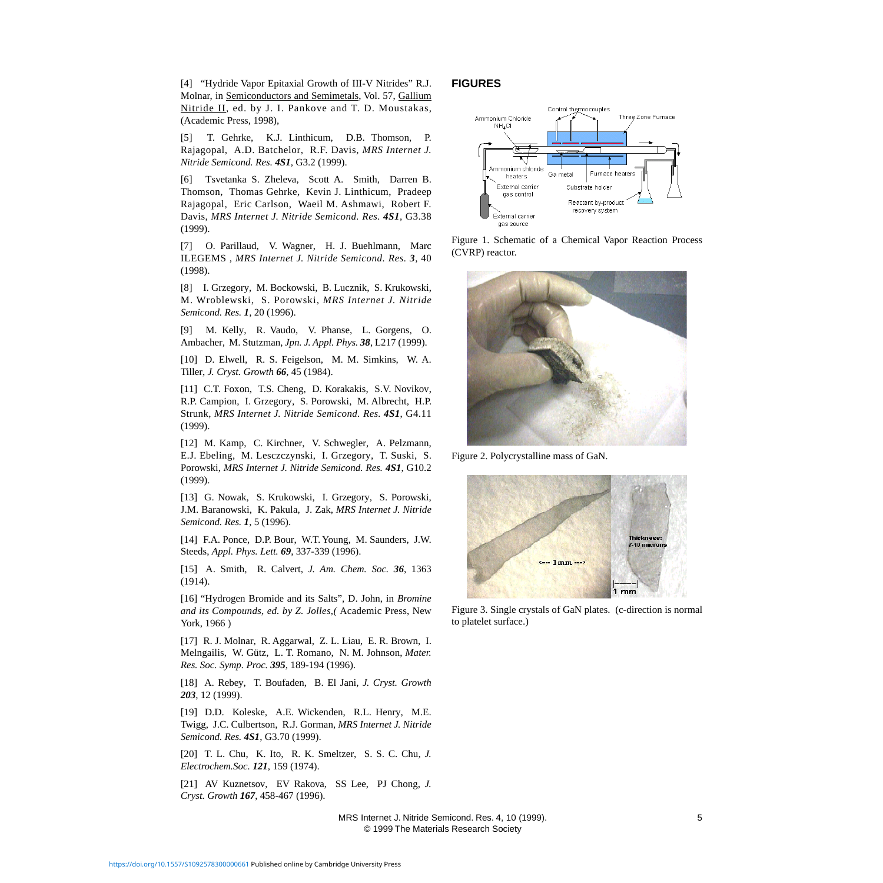<span id="page-4-0"></span>[4] "Hydride Vapor Epitaxial Growth of III-V Nitrides" R.J. Molnar, in Semiconductors and Semimetals, Vol. 57, Gallium Nitride II, ed. by J. I. Pankove and T. D. Moustakas, (Academic Press, 1998),

<span id="page-4-1"></span>[5] T. Gehrke, K.J. Linthicum, D.B. Thomson, P. Rajagopal, A.D. Batchelor, R.F. Davis, *MRS Internet J. Nitride Semicond. Res. 4S1*, G3.2 (1999).

<span id="page-4-2"></span>[6] Tsvetanka S. Zheleva, Scott A. Smith, Darren B. Thomson, Thomas Gehrke, Kevin J. Linthicum, Pradeep Rajagopal, Eric Carlson, Waeil M. Ashmawi, Robert F. Davis, *MRS Internet J. Nitride Semicond. Res. 4S1*, G3.38 (1999).

<span id="page-4-3"></span>[7] O. Parillaud, V. Wagner, H. J. Buehlmann, Marc ILEGEMS , *MRS Internet J. Nitride Semicond. Res. 3*, 40 (1998).

<span id="page-4-4"></span>[8] I. Grzegory, M. Bockowski, B. Lucznik, S. Krukowski, M. Wroblewski, S. Porowski, *MRS Internet J. Nitride Semicond. Res. 1*, 20 (1996).

<span id="page-4-5"></span>[9] M. Kelly, R. Vaudo, V. Phanse, L. Gorgens, O. Ambacher, M. Stutzman, *Jpn. J. Appl. Phys. 38*, L217 (1999).

<span id="page-4-6"></span>[10] D. Elwell, R. S. Feigelson, M. M. Simkins, W. A. Tiller, *J. Cryst. Growth 66*, 45 (1984).

<span id="page-4-7"></span>[11] C.T. Foxon, T.S. Cheng, D. Korakakis, S.V. Novikov, R.P. Campion, I. Grzegory, S. Porowski, M. Albrecht, H.P. Strunk, *MRS Internet J. Nitride Semicond. Res. 4S1*, G4.11 (1999).

<span id="page-4-8"></span>[12] M. Kamp, C. Kirchner, V. Schwegler, A. Pelzmann, E.J. Ebeling, M. Lesczczynski, I. Grzegory, T. Suski, S. Porowski, *MRS Internet J. Nitride Semicond. Res. 4S1*, G10.2 (1999).

<span id="page-4-10"></span>[13] G. Nowak, S. Krukowski, I. Grzegory, S. Porowski, J.M. Baranowski, K. Pakula, J. Zak, *MRS Internet J. Nitride Semicond. Res. 1*, 5 (1996).

<span id="page-4-11"></span>[14] F.A. Ponce, D.P. Bour, W.T. Young, M. Saunders, J.W. Steeds, *Appl. Phys. Lett. 69*, 337-339 (1996).

<span id="page-4-12"></span>[15] A. Smith, R. Calvert, *J. Am. Chem. Soc. 36*, 1363 (1914).

<span id="page-4-13"></span>[16] "Hydrogen Bromide and its Salts", D. John, in *Bromine and its Compounds, ed. by Z. Jolles,(* Academic Press, New York, 1966 )

<span id="page-4-14"></span>[17] R. J. Molnar, R. Aggarwal, Z. L. Liau, E. R. Brown, I. Melngailis, W. Gütz, L. T. Romano, N. M. Johnson, *Mater. Res. Soc. Symp. Proc. 395*, 189-194 (1996).

<span id="page-4-15"></span>[18] A. Rebey, T. Boufaden, B. El Jani, *J. Cryst. Growth 203*, 12 (1999).

<span id="page-4-16"></span>[19] D.D. Koleske, A.E. Wickenden, R.L. Henry, M.E. Twigg, J.C. Culbertson, R.J. Gorman, *MRS Internet J. Nitride Semicond. Res. 4S1*, G3.70 (1999).

<span id="page-4-17"></span>[20] T. L. Chu, K. Ito, R. K. Smeltzer, S. S. C. Chu, *J. Electrochem.Soc. 121*, 159 (1974).

<span id="page-4-18"></span>[21] AV Kuznetsov, EV Rakova, SS Lee, PJ Chong, *J. Cryst. Growth 167*, 458-467 (1996).

#### <span id="page-4-9"></span>**FIGURES**



Figure 1. Schematic of a Chemical Vapor Reaction Process (CVRP) reactor.



Figure 2. Polycrystalline mass of GaN.



Figure 3. Single crystals of GaN plates. (c-direction is normal to platelet surface.)

 MRS Internet J. Nitride Semicond. Res. 4, 10 (1999). 5 © 1999 The Materials Research Society